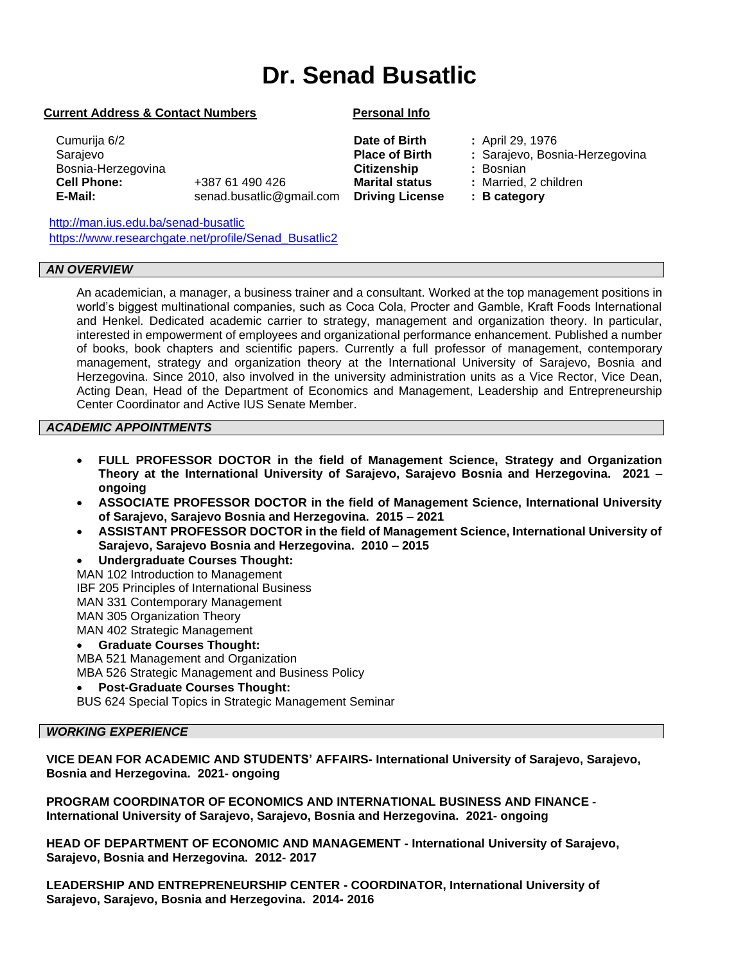# **Dr. Senad Busatlic**

#### **Current Address & Contact Numbers Personal Info**

**Marital status Driving License**

 Cumurija 6/2 Sarajevo Bosnia-Herzegovina  **Cell Phone: E-Mail:**  +387 61 490 426 senad.busatlic@gmail.com

<http://man.ius.edu.ba/senad-busatlic> [https://www.researchgate.net/profile/Senad\\_Busatlic2](https://www.researchgate.net/profile/Senad_Busatlic2)

#### *AN OVERVIEW*

An academician, a manager, a business trainer and a consultant. Worked at the top management positions in world's biggest multinational companies, such as Coca Cola, Procter and Gamble, Kraft Foods International and Henkel. Dedicated academic carrier to strategy, management and organization theory. In particular, interested in empowerment of employees and organizational performance enhancement. Published a number of books, book chapters and scientific papers. Currently a full professor of management, contemporary management, strategy and organization theory at the International University of Sarajevo, Bosnia and Herzegovina. Since 2010, also involved in the university administration units as a Vice Rector, Vice Dean, Acting Dean, Head of the Department of Economics and Management, Leadership and Entrepreneurship Center Coordinator and Active IUS Senate Member.  $\overline{a}$ 

#### *ACADEMIC APPOINTMENTS*

- **FULL PROFESSOR DOCTOR in the field of Management Science, Strategy and Organization Theory at the International University of Sarajevo, Sarajevo Bosnia and Herzegovina. 2021 – ongoing**
- **ASSOCIATE PROFESSOR DOCTOR in the field of Management Science, International University of Sarajevo, Sarajevo Bosnia and Herzegovina. 2015 – 2021**
- **ASSISTANT PROFESSOR DOCTOR in the field of Management Science, International University of Sarajevo, Sarajevo Bosnia and Herzegovina. 2010 – 2015**
- **Undergraduate Courses Thought:**
- MAN 102 Introduction to Management
- IBF 205 Principles of International Business
- MAN 331 Contemporary Management
- MAN 305 Organization Theory

MAN 402 Strategic Management

#### • **Graduate Courses Thought:**

MBA 521 Management and Organization

MBA 526 Strategic Management and Business Policy

# • **Post-Graduate Courses Thought:**

BUS 624 Special Topics in Strategic Management Seminar

# *WORKING EXPERIENCE*

**VICE DEAN FOR ACADEMIC AND STUDENTS' AFFAIRS- International University of Sarajevo, Sarajevo, Bosnia and Herzegovina. 2021- ongoing**

**PROGRAM COORDINATOR OF ECONOMICS AND INTERNATIONAL BUSINESS AND FINANCE - International University of Sarajevo, Sarajevo, Bosnia and Herzegovina. 2021- ongoing**

**HEAD OF DEPARTMENT OF ECONOMIC AND MANAGEMENT - International University of Sarajevo, Sarajevo, Bosnia and Herzegovina. 2012- 2017**

**LEADERSHIP AND ENTREPRENEURSHIP CENTER - COORDINATOR, International University of Sarajevo, Sarajevo, Bosnia and Herzegovina. 2014- 2016**

- **Date of Birth Place of Birth Citizenship**
- **:** April 29, 1976
	- **:** Sarajevo, Bosnia-Herzegovina
	- **:** Bosnian
	- **:** Married, 2 children
	- **: B category**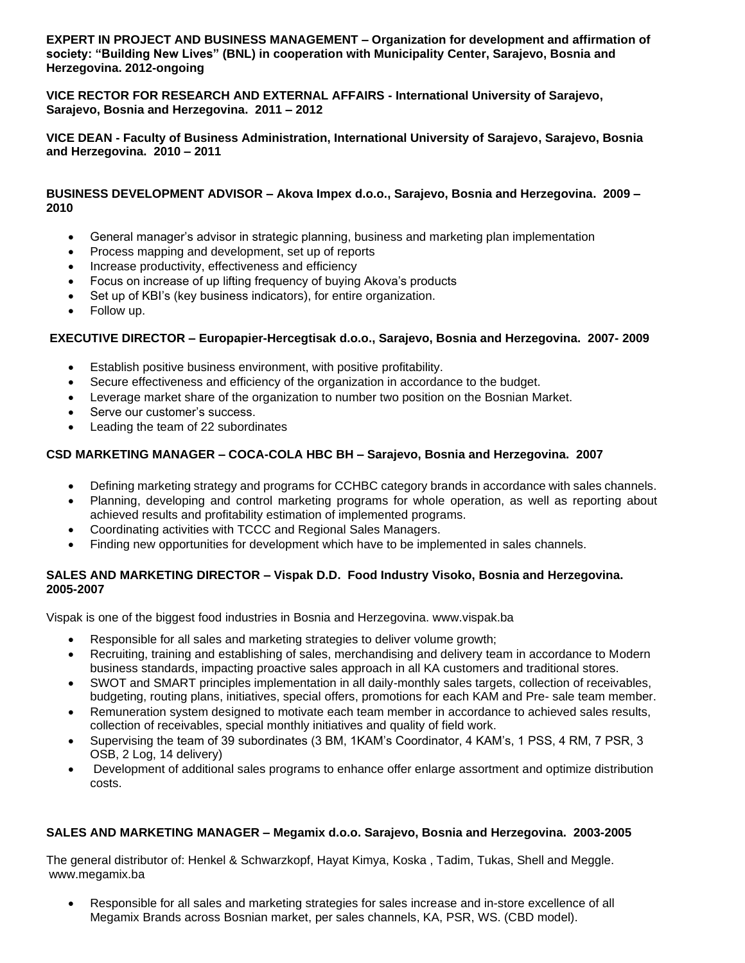**EXPERT IN PROJECT AND BUSINESS MANAGEMENT – Organization for development and affirmation of society: "Building New Lives" (BNL) in cooperation with Municipality Center, Sarajevo, Bosnia and Herzegovina. 2012-ongoing**

**VICE RECTOR FOR RESEARCH AND EXTERNAL AFFAIRS - International University of Sarajevo, Sarajevo, Bosnia and Herzegovina. 2011 – 2012** 

**VICE DEAN - Faculty of Business Administration, International University of Sarajevo, Sarajevo, Bosnia and Herzegovina. 2010 – 2011**

# **BUSINESS DEVELOPMENT ADVISOR – Akova Impex d.o.o., Sarajevo, Bosnia and Herzegovina. 2009 – 2010**

- General manager's advisor in strategic planning, business and marketing plan implementation
- Process mapping and development, set up of reports
- Increase productivity, effectiveness and efficiency
- Focus on increase of up lifting frequency of buying Akova's products
- Set up of KBI's (key business indicators), for entire organization.
- Follow up.

#### **EXECUTIVE DIRECTOR – Europapier-Hercegtisak d.o.o., Sarajevo, Bosnia and Herzegovina. 2007- 2009**

- Establish positive business environment, with positive profitability.
- Secure effectiveness and efficiency of the organization in accordance to the budget.
- Leverage market share of the organization to number two position on the Bosnian Market.
- Serve our customer's success.
- Leading the team of 22 subordinates

# **CSD MARKETING MANAGER – COCA-COLA HBC BH – Sarajevo, Bosnia and Herzegovina. 2007**

- Defining marketing strategy and programs for CCHBC category brands in accordance with sales channels.
- Planning, developing and control marketing programs for whole operation, as well as reporting about achieved results and profitability estimation of implemented programs.
- Coordinating activities with TCCC and Regional Sales Managers.
- Finding new opportunities for development which have to be implemented in sales channels.

# **SALES AND MARKETING DIRECTOR – Vispak D.D. Food Industry Visoko, Bosnia and Herzegovina. 2005-2007**

Vispak is one of the biggest food industries in Bosnia and Herzegovina. www.vispak.ba

- Responsible for all sales and marketing strategies to deliver volume growth;
- Recruiting, training and establishing of sales, merchandising and delivery team in accordance to Modern business standards, impacting proactive sales approach in all KA customers and traditional stores.
- SWOT and SMART principles implementation in all daily-monthly sales targets, collection of receivables, budgeting, routing plans, initiatives, special offers, promotions for each KAM and Pre- sale team member.
- Remuneration system designed to motivate each team member in accordance to achieved sales results, collection of receivables, special monthly initiatives and quality of field work.
- Supervising the team of 39 subordinates (3 BM, 1KAM's Coordinator, 4 KAM's, 1 PSS, 4 RM, 7 PSR, 3 OSB, 2 Log, 14 delivery)
- Development of additional sales programs to enhance offer enlarge assortment and optimize distribution costs.

# **SALES AND MARKETING MANAGER – Megamix d.o.o. Sarajevo, Bosnia and Herzegovina. 2003-2005**

The general distributor of: Henkel & Schwarzkopf, Hayat Kimya, Koska , Tadim, Tukas, Shell and Meggle. www.megamix.ba

• Responsible for all sales and marketing strategies for sales increase and in-store excellence of all Megamix Brands across Bosnian market, per sales channels, KA, PSR, WS. (CBD model).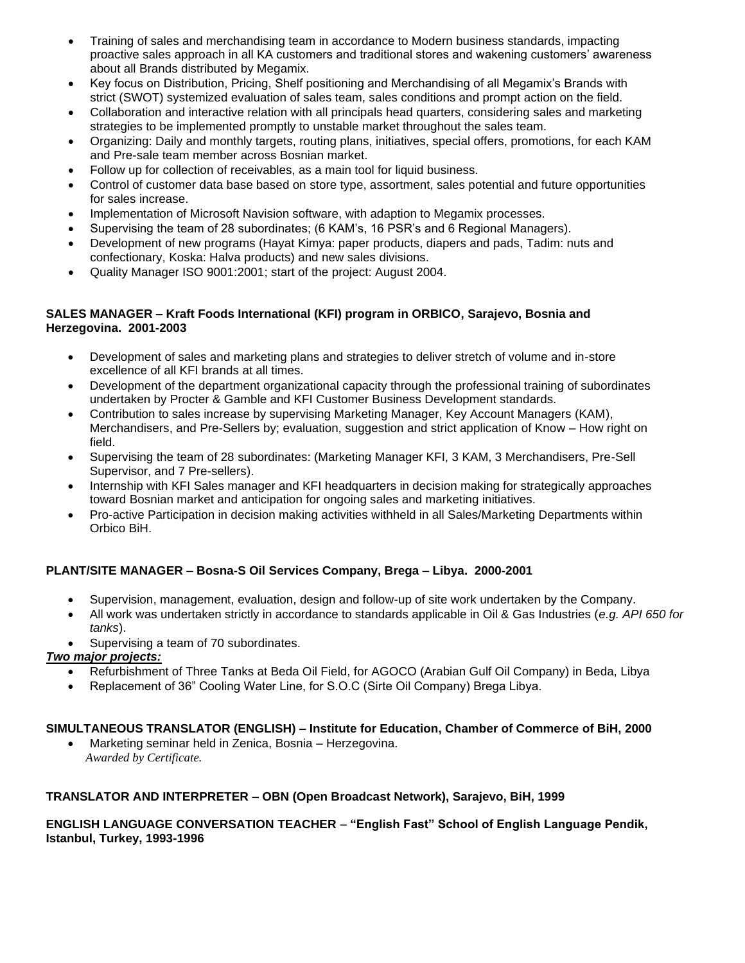- Training of sales and merchandising team in accordance to Modern business standards, impacting proactive sales approach in all KA customers and traditional stores and wakening customers' awareness about all Brands distributed by Megamix.
- Key focus on Distribution, Pricing, Shelf positioning and Merchandising of all Megamix's Brands with strict (SWOT) systemized evaluation of sales team, sales conditions and prompt action on the field.
- Collaboration and interactive relation with all principals head quarters, considering sales and marketing strategies to be implemented promptly to unstable market throughout the sales team.
- Organizing: Daily and monthly targets, routing plans, initiatives, special offers, promotions, for each KAM and Pre-sale team member across Bosnian market.
- Follow up for collection of receivables, as a main tool for liquid business.
- Control of customer data base based on store type, assortment, sales potential and future opportunities for sales increase.
- Implementation of Microsoft Navision software, with adaption to Megamix processes.
- Supervising the team of 28 subordinates; (6 KAM's, 16 PSR's and 6 Regional Managers).
- Development of new programs (Hayat Kimya: paper products, diapers and pads, Tadim: nuts and confectionary, Koska: Halva products) and new sales divisions.
- Quality Manager ISO 9001:2001; start of the project: August 2004.

# **SALES MANAGER – Kraft Foods International (KFI) program in ORBICO, Sarajevo, Bosnia and Herzegovina. 2001-2003**

- Development of sales and marketing plans and strategies to deliver stretch of volume and in-store excellence of all KFI brands at all times.
- Development of the department organizational capacity through the professional training of subordinates undertaken by Procter & Gamble and KFI Customer Business Development standards.
- Contribution to sales increase by supervising Marketing Manager, Key Account Managers (KAM), Merchandisers, and Pre-Sellers by; evaluation, suggestion and strict application of Know – How right on field.
- Supervising the team of 28 subordinates: (Marketing Manager KFI, 3 KAM, 3 Merchandisers, Pre-Sell Supervisor, and 7 Pre-sellers).
- Internship with KFI Sales manager and KFI headquarters in decision making for strategically approaches toward Bosnian market and anticipation for ongoing sales and marketing initiatives.
- Pro-active Participation in decision making activities withheld in all Sales/Marketing Departments within Orbico BiH.

# **PLANT/SITE MANAGER – Bosna-S Oil Services Company, Brega – Libya. 2000-2001**

- Supervision, management, evaluation, design and follow-up of site work undertaken by the Company.
- All work was undertaken strictly in accordance to standards applicable in Oil & Gas Industries (*e.g. API 650 for tanks*).
- Supervising a team of 70 subordinates.

# *Two major projects:*

- Refurbishment of Three Tanks at Beda Oil Field, for AGOCO (Arabian Gulf Oil Company) in Beda, Libya
- Replacement of 36" Cooling Water Line, for S.O.C (Sirte Oil Company) Brega Libya.

# **SIMULTANEOUS TRANSLATOR (ENGLISH) – Institute for Education, Chamber of Commerce of BiH, 2000**

• Marketing seminar held in Zenica, Bosnia – Herzegovina.  *Awarded by Certificate.*

# **TRANSLATOR AND INTERPRETER – OBN (Open Broadcast Network), Sarajevo, BiH, 1999**

# **ENGLISH LANGUAGE CONVERSATION TEACHER** *–* **"English Fast" School of English Language Pendik, Istanbul, Turkey, 1993-1996**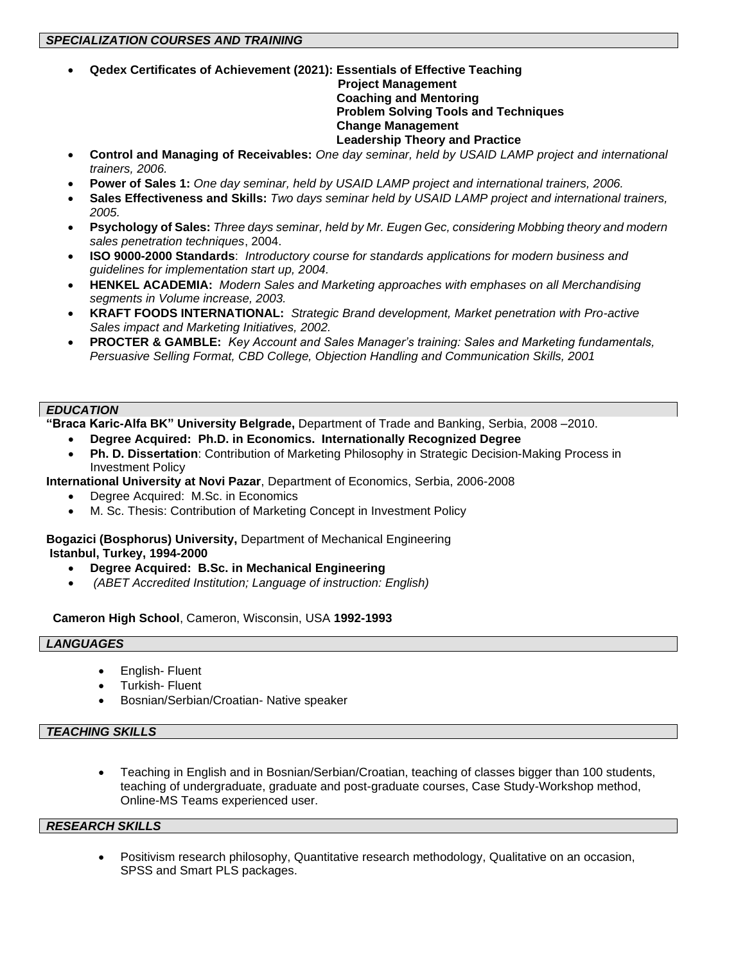• **Qedex Certificates of Achievement (2021): Essentials of Effective Teaching**

# **Project Management Coaching and Mentoring Problem Solving Tools and Techniques Change Management Leadership Theory and Practice**

- **Control and Managing of Receivables:** *One day seminar, held by USAID LAMP project and international trainers, 2006.*
- **Power of Sales 1:** *One day seminar, held by USAID LAMP project and international trainers, 2006.*
- **Sales Effectiveness and Skills:** *Two days seminar held by USAID LAMP project and international trainers, 2005.*
- **Psychology of Sales:** *Three days seminar, held by Mr. Eugen Gec, considering Mobbing theory and modern sales penetration techniques*, 2004.
- **ISO 9000-2000 Standards**: *Introductory course for standards applications for modern business and guidelines for implementation start up, 2004.*
- **HENKEL ACADEMIA:** *Modern Sales and Marketing approaches with emphases on all Merchandising segments in Volume increase, 2003.*
- **KRAFT FOODS INTERNATIONAL:** *Strategic Brand development, Market penetration with Pro-active Sales impact and Marketing Initiatives, 2002.*
- **PROCTER & GAMBLE:** *Key Account and Sales Manager's training: Sales and Marketing fundamentals, Persuasive Selling Format, CBD College, Objection Handling and Communication Skills, 2001*

# *EDUCATION*

**"Braca Karic-Alfa BK" University Belgrade,** Department of Trade and Banking, Serbia, 2008 –2010.

- **Degree Acquired: Ph.D. in Economics. Internationally Recognized Degree**
- **Ph. D. Dissertation**: Contribution of Marketing Philosophy in Strategic Decision-Making Process in Investment Policy

**International University at Novi Pazar**, Department of Economics, Serbia, 2006-2008

- Degree Acquired: M.Sc. in Economics
- M. Sc. Thesis: Contribution of Marketing Concept in Investment Policy

**Bogazici (Bosphorus) University,** Department of Mechanical Engineering **Istanbul, Turkey, 1994-2000**

- **Degree Acquired: B.Sc. in Mechanical Engineering**
- *(ABET Accredited Institution; Language of instruction: English)*

# **Cameron High School**, Cameron, Wisconsin, USA **1992-1993**

#### *LANGUAGES*

- English- Fluent
- Turkish- Fluent
- Bosnian/Serbian/Croatian- Native speaker

# *TEACHING SKILLS*

• Teaching in English and in Bosnian/Serbian/Croatian, teaching of classes bigger than 100 students, teaching of undergraduate, graduate and post-graduate courses, Case Study-Workshop method, Online-MS Teams experienced user.

#### *RESEARCH SKILLS*

• Positivism research philosophy, Quantitative research methodology, Qualitative on an occasion, SPSS and Smart PLS packages.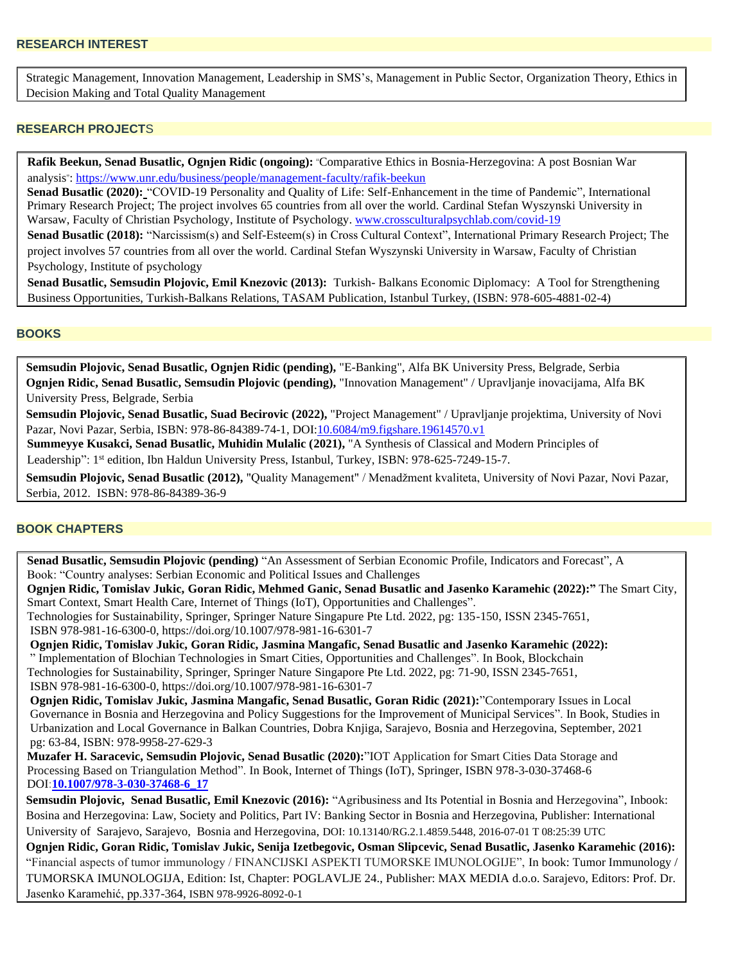• Strategic Management, Innovation Management, Leadership in SMS's, Management in Public Sector, Organization Theory, Ethics in Decision Making and Total Quality Management

#### **RESEARCH PROJECT**S

**Rafik Beekun, Senad Busatlic, Ognjen Ridic (ongoing):** "Comparative Ethics in Bosnia-Herzegovina: A post Bosnian War analysis"[: https://www.unr.edu/business/people/management-faculty/rafik-beekun](https://www.unr.edu/business/people/management-faculty/rafik-beekun)

 **Senad Busatlic (2020):** "COVID-19 Personality and Quality of Life: Self-Enhancement in the time of Pandemic", International Primary Research Project; The project involves 65 countries from all over the world. Cardinal Stefan Wyszynski University in Warsaw, Faculty of Christian Psychology, Institute of Psychology. [www.crossculturalpsychlab.com/covid-19](http://www.crossculturalpsychlab.com/covid-19)

**Senad Busatlic (2018):** "Narcissism(s) and Self-Esteem(s) in Cross Cultural Context", International Primary Research Project; The project involves 57 countries from all over the world. Cardinal Stefan Wyszynski University in Warsaw, Faculty of Christian Psychology, Institute of psychology

**Senad Busatlic, Semsudin Plojovic, Emil Knezovic (2013):** Turkish- Balkans Economic Diplomacy: A Tool for Strengthening Business Opportunities, Turkish-Balkans Relations, TASAM Publication, Istanbul Turkey, (ISBN: 978-605-4881-02-4)

#### **BOOKS**

• **Semsudin Plojovic, Senad Busatlic, Ognjen Ridic (pending),** "E-Banking", Alfa BK University Press, Belgrade, Serbia • **Ognjen Ridic, Senad Busatlic, Semsudin Plojovic (pending),** "Innovation Management" / Upravljanje inovacijama, Alfa BK University Press, Belgrade, Serbia

• **Semsudin Plojovic, Senad Busatlic, Suad Becirovic (2022),** "Project Management" / Upravljanje projektima, University of Novi Pazar, Novi Pazar, Serbia, ISBN: 978-86-84389-74-1, DOI[:10.6084/m9.figshare.19614570.v1](http://dx.doi.org/10.6084/m9.figshare.19614570.v1)

 **Summeyye Kusakci, Senad Busatlic, Muhidin Mulalic (2021),** "A Synthesis of Classical and Modern Principles of Leadership": 1<sup>st</sup> edition, Ibn Haldun University Press, Istanbul, Turkey, ISBN: 978-625-7249-15-7.

• **Semsudin Plojovic, Senad Busatlic (2012),** "Quality Management" / Menadžment kvaliteta, University of Novi Pazar, Novi Pazar, Serbia, 2012. ISBN: 978-86-84389-36-9

#### **BOOK CHAPTERS**

 **Senad Busatlic, Semsudin Plojovic (pending)** "An Assessment of Serbian Economic Profile, Indicators and Forecast", A Book: "Country analyses: Serbian Economic and Political Issues and Challenges

 **Ognjen Ridic, Tomislav Jukic, Goran Ridic, Mehmed Ganic, Senad Busatlic and Jasenko Karamehic (2022):"** The Smart City, Smart Context, Smart Health Care, Internet of Things (IoT), Opportunities and Challenges".

 Technologies for Sustainability, Springer, Springer Nature Singapure Pte Ltd. 2022, pg: 135-150, ISSN 2345-7651, ISBN 978-981-16-6300-0, https://doi.org/10.1007/978-981-16-6301-7

 **Ognjen Ridic, Tomislav Jukic, Goran Ridic, Jasmina Mangafic, Senad Busatlic and Jasenko Karamehic (2022):** " Implementation of Blochian Technologies in Smart Cities, Opportunities and Challenges". In Book, Blockchain Technologies for Sustainability, Springer, Springer Nature Singapore Pte Ltd. 2022, pg: 71-90, ISSN 2345-7651, ISBN 978-981-16-6300-0, https://doi.org/10.1007/978-981-16-6301-7

 **Ognjen Ridic, Tomislav Jukic, Jasmina Mangafic, Senad Busatlic, Goran Ridic (2021):**"Contemporary Issues in Local Governance in Bosnia and Herzegovina and Policy Suggestions for the Improvement of Municipal Services". In Book, Studies in Urbanization and Local Governance in Balkan Countries, Dobra Knjiga, Sarajevo, Bosnia and Herzegovina, September, 2021 pg: 63-84, ISBN: 978-9958-27-629-3

 **Muzafer H. Saracevic, Semsudin Plojovic, Senad Busatlic (2020):**"IOT Application for Smart Cities Data Storage and Processing Based on Triangulation Method". In Book, Internet of Things (IoT), Springer, ISBN 978-3-030-37468-6 DOI:**[10.1007/978-3-030-37468-6\\_17](https://www.researchgate.net/deref/http%3A%2F%2Fdx.doi.org%2F10.1007%2F978-3-030-37468-6_17?_sg%5B0%5D=y5j1lGI_I3q-1hCm21gZ9uLbsLK0R0nGLvJjf7kinLZQdJErzIAW4z_EZx3y_iH01HEcS-lJPi5m92j_d9WDTOfZiw.SgfSjoicctQszeQ1ke_f3Wf_a6otzfsbCCpoiWEfe6rc2XnubkksiVm7Nbnsqoxhi9qKHZcHaogrk1qjxxy46A)**

**Semsudin Plojovic, Senad Busatlic, Emil Knezovic (2016):** "Agribusiness and Its Potential in Bosnia and Herzegovina", Inbook: Bosina and Herzegovina: Law, Society and Politics, Part IV: Banking Sector in Bosnia and Herzegovina, Publisher: International University of Sarajevo, Sarajevo, Bosnia and Herzegovina, DOI: 10.13140/RG.2.1.4859.5448, 2016-07-01 T 08:25:39 UTC

• **Ognjen Ridic, Goran Ridic, Tomislav Jukic, Senija Izetbegovic, Osman Slipcevic, Senad Busatlic, Jasenko Karamehic (2016):** "Financial aspects of tumor immunology / FINANCIJSKI ASPEKTI TUMORSKE IMUNOLOGIJE", In book: Tumor Immunology / TUMORSKA IMUNOLOGIJA, Edition: Ist, Chapter: POGLAVLJE 24., Publisher: MAX MEDIA d.o.o. Sarajevo, Editors: Prof. Dr. Jasenko Karamehić, pp.337-364, ISBN 978-9926-8092-0-1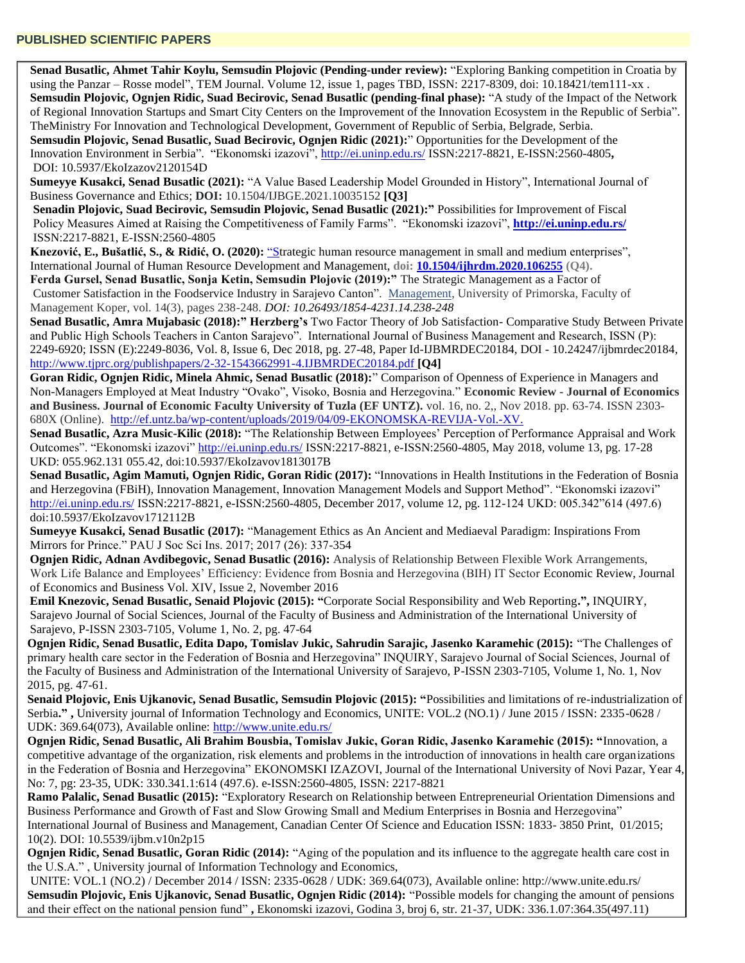**Senad Busatlic, Ahmet Tahir Koylu, Semsudin Plojovic (Pending-under review):** "Exploring Banking competition in Croatia by using the Panzar – Rosse model", TEM Journal. Volume 12, issue 1, pages TBD, ISSN: 2217-8309, doi: 10.18421/tem111-xx . **Semsudin Plojovic, Ognjen Ridic, Suad Becirovic, Senad Busatlic (pending-final phase):** "A study of the Impact of the Network of Regional Innovation Startups and Smart City Centers on the Improvement of the Innovation Ecosystem in the Republic of Serbia". TheMinistry For Innovation and Technological Development, Government of Republic of Serbia, Belgrade, Serbia.

 **Semsudin Plojovic, Senad Busatlic, Suad Becirovic, Ognjen Ridic (2021):**" Opportunities for the Development of the Innovation Environment in Serbia". "Ekonomski izazovi",<http://ei.uninp.edu.rs/> ISSN:2217-8821, E-ISSN:2560-4805**,**  DOI: 10.5937/EkoIzazov2120154D

**Sumeyye Kusakci, Senad Busatlic (2021):** "A Value Based Leadership Model Grounded in History", International Journal of Business Governance and Ethics; **DOI:** 10.1504/IJBGE.2021.10035152 **[Q3]**

 **Senadin Plojovic, Suad Becirovic, Semsudin Plojovic, Senad Busatlic (2021):"** Possibilities for Improvement of Fiscal Policy Measures Aimed at Raising the Competitiveness of Family Farms". "Ekonomski izazovi", **<http://ei.uninp.edu.rs/>** ISSN:2217-8821, E-ISSN:2560-4805

 **Knezović, E., Bušatlić, S., & Ridić, O. (2020):** "Strategic human resource [management](http://www.inderscience.com/info/ingeneral/forthcoming.php?jcode=ijhrdm) in small and medium enterprises", International Journal of Human Resource Development and Management, **doi: [10.1504/ijhrdm.2020.106255](https://www.researchgate.net/deref/http%3A%2F%2Fdx.doi.org%2F10.1504%2FIJHRDM.2020.106255?_sg%5B0%5D=s0BXSM5JolPwdFXf_BChDCixo_SLOJWNvSaSmj4-Pr-vsNt6hv6WsxmI4sS9iVcPPb6-cB6KaLj75w_2vzpt3rJmsw.zC0bLDI6k8kCpnv_vkRWVEwjdlAR24KTxVUHxVw6ZGQ2PD7nOg7xeJEYa1DzR0CZTv6QbmiUsuAT1oUoHfLK6g) (Q4).**

 **Ferda Gursel, Senad Busatlic, Sonja Ketin, Semsudin Plojovic (2019):"** The Strategic Management as a Factor of Customer Satisfaction in the Foodservice Industry in Sarajevo Canton". [Management,](https://ideas.repec.org/s/mgt/youmng.html) University of Primorska, Faculty of Management Koper, vol. 14(3), pages 238-248. *DOI: 10.26493/1854-4231.14.238-248*

**Senad Busatlic, Amra Mujabasic (2018):" Herzberg's** Two Factor Theory of Job Satisfaction- Comparative Study Between Private and Public High Schools Teachers in Canton Sarajevo". International Journal of Business Management and Research, ISSN (P): 2249-6920; ISSN (E):2249-8036, Vol. 8, Issue 6, Dec 2018, pg. 27-48, Paper Id-IJBMRDEC20184, DOI - 10.24247/ijbmrdec20184, <http://www.tjprc.org/publishpapers/2-32-1543662991-4.IJBMRDEC20184.pdf> **[Q4]**

**Goran Ridic, Ognjen Ridic, Minela Ahmic, Senad Busatlic (2018):**" Comparison of Openness of Experience in Managers and Non-Managers Employed at Meat Industry "Ovako", Visoko, Bosnia and Herzegovina." **Economic Review - Journal of Economics and Business. Journal of Economic Faculty University of Tuzla (EF UNTZ).** vol. 16, no. 2,, Nov 2018. pp. 63-74. ISSN 2303- 680X (Online).<http://ef.untz.ba/wp-content/uploads/2019/04/09-EKONOMSKA-REVIJA-Vol.-XV.>

**Senad Busatlic, Azra Music-Kilic (2018):** "The Relationship Between Employees' Perception of Performance Appraisal and Work Outcomes". "Ekonomski izazovi"<http://ei.uninp.edu.rs/> ISSN:2217-8821, e-ISSN:2560-4805, May 2018, volume 13, pg. 17-28 UKD: 055.962.131 055.42, doi:10.5937/EkoIzavov1813017B

**Senad Busatlic, Agim Mamuti, Ognjen Ridic, Goran Ridic (2017):** "Innovations in Health Institutions in the Federation of Bosnia and Herzegovina (FBiH), Innovation Management, Innovation Management Models and Support Method". "Ekonomski izazovi" <http://ei.uninp.edu.rs/> ISSN:2217-8821, e-ISSN:2560-4805, December 2017, volume 12, pg. 112-124 UKD: 005.342"614 (497.6) doi:10.5937/EkoIzavov1712112B

**Sumeyye Kusakci, Senad Busatlic (2017):** "Management Ethics as An Ancient and Mediaeval Paradigm: Inspirations From Mirrors for Prince." PAU J Soc Sci Ins. 2017; 2017 (26): 337-354

**Ognjen Ridic, Adnan Avdibegovic, Senad Busatlic (2016):** Analysis of Relationship Between Flexible Work Arrangements, Work Life Balance and Employees' Efficiency: Evidence from Bosnia and Herzegovina (BIH) IT Sector Economic Review, Journal of Economics and Business Vol. XIV, Issue 2, November 2016

**Emil Knezovic, Senad Busatlic, Senaid Plojovic (2015): "**Corporate Social Responsibility and Web Reporting**.",** INQUIRY, Sarajevo Journal of Social Sciences, Journal of the Faculty of Business and Administration of the International University of Sarajevo, P-ISSN 2303-7105, Volume 1, No. 2, pg. 47-64

**Ognjen Ridic, Senad Busatlic, Edita Dapo, Tomislav Jukic, Sahrudin Sarajic, Jasenko Karamehic (2015):** "The Challenges of primary health care sector in the Federation of Bosnia and Herzegovina" INQUIRY, Sarajevo Journal of Social Sciences, Journal of the Faculty of Business and Administration of the International University of Sarajevo, P-ISSN 2303-7105, Volume 1, No. 1, Nov 2015, pg. 47-61.

**Senaid Plojovic, Enis Ujkanovic, Senad Busatlic, Semsudin Plojovic (2015): "**Possibilities and limitations of re-industrialization of Serbia**." ,** University journal of Information Technology and Economics, UNITE: VOL.2 (NO.1) / June 2015 / ISSN: 2335-0628 / UDK: 369.64(073), Available online:<http://www.unite.edu.rs/>

**Ognjen Ridic, Senad Busatlic, Ali Brahim Bousbia, Tomislav Jukic, Goran Ridic, Jasenko Karamehic (2015): "**Innovation, a competitive advantage of the organization, risk elements and problems in the introduction of innovations in health care organizations in the Federation of Bosnia and Herzegovina" EKONOMSKI IZAZOVI, Journal of the International University of Novi Pazar, Year 4, No: 7, pg: 23-35, UDK: 330.341.1:614 (497.6). e-ISSN:2560-4805, ISSN: 2217-8821

**Ramo Palalic, Senad Busatlic (2015):** "Exploratory Research on Relationship between Entrepreneurial Orientation Dimensions and Business Performance and Growth of Fast and Slow Growing Small and Medium Enterprises in Bosnia and Herzegovina" International Journal of Business and Management, Canadian Center Of Science and Education ISSN: 1833- 3850 Print, 01/2015; 10(2). DOI: 10.5539/ijbm.v10n2p15

**Ognjen Ridic, Senad Busatlic, Goran Ridic (2014):** "Aging of the population and its influence to the aggregate health care cost in the U.S.A." , University journal of Information Technology and Economics,

UNITE: VOL.1 (NO.2) / December 2014 / ISSN: 2335-0628 / UDK: 369.64(073), Available online: http://www.unite.edu.rs/ **Semsudin Plojovic, Enis Ujkanovic, Senad Busatlic, Ognjen Ridic (2014):** "Possible models for changing the amount of pensions and their effect on the national pension fund" **,** Ekonomski izazovi, Godina 3, broj 6, str. 21-37, UDK: 336.1.07:364.35(497.11)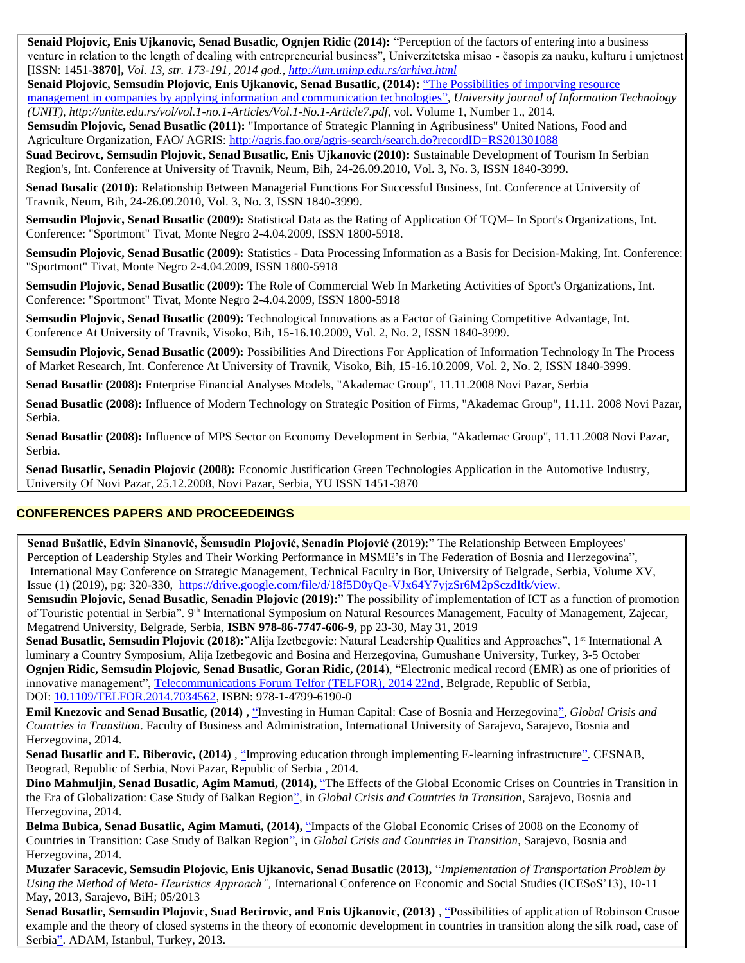**Senaid Plojovic, Enis Ujkanovic, Senad Busatlic, Ognjen Ridic (2014):** "Perception of the factors of entering into a business venture in relation to the length of dealing with entrepreneurial business", Univerzitetska misao **-** časopis za nauku, kulturu i umjetnost [ISSN: 1451**-3870],** *Vol. 13, str. 173-191, 2014 god.,<http://um.uninp.edu.rs/arhiva.html>*

**Senaid Plojovic, Semsudin Plojovic, Enis Ujkanovic, Senad Busatlic, (2014):** "The Possibilities of imporving resource management in companies by applying information and communication technologies", *University journal of Information Technology (UNIT), http://unite.edu.rs/vol/vol.1-no.1-Articles/Vol.1-No.1-Article7.pdf*, vol. Volume 1, Number 1., 2014.

**Semsudin Plojovic, Senad Busatlic (2011):** "Importance of Strategic Planning in Agribusiness" United Nations, Food and Agriculture Organization, FAO/ AGRIS:<http://agris.fao.org/agris-search/search.do?recordID=RS201301088>

• **Suad Becirovc, Semsudin Plojovic, Senad Busatlic, Enis Ujkanovic (2010):** Sustainable Development of Tourism In Serbian Region's, Int. Conference at University of Travnik, Neum, Bih, 24-26.09.2010, Vol. 3, No. 3, ISSN 1840-3999.

• **Senad Busalic (2010):** Relationship Between Managerial Functions For Successful Business, Int. Conference at University of Travnik, Neum, Bih, 24-26.09.2010, Vol. 3, No. 3, ISSN 1840-3999.

**Semsudin Plojovic, Senad Busatlic (2009):** Statistical Data as the Rating of Application Of TQM– In Sport's Organizations, Int. Conference: "Sportmont" Tivat, Monte Negro 2-4.04.2009, ISSN 1800-5918.

• **Semsudin Plojovic, Senad Busatlic (2009):** Statistics - Data Processing Information as a Basis for Decision-Making, Int. Conference: "Sportmont" Tivat, Monte Negro 2-4.04.2009, ISSN 1800-5918

• **Semsudin Plojovic, Senad Busatlic (2009):** The Role of Commercial Web In Marketing Activities of Sport's Organizations, Int. Conference: "Sportmont" Tivat, Monte Negro 2-4.04.2009, ISSN 1800-5918

• **Semsudin Plojovic, Senad Busatlic (2009):** Technological Innovations as a Factor of Gaining Competitive Advantage, Int. Conference At University of Travnik, Visoko, Bih, 15-16.10.2009, Vol. 2, No. 2, ISSN 1840-3999.

• **Semsudin Plojovic, Senad Busatlic (2009):** Possibilities And Directions For Application of Information Technology In The Process of Market Research, Int. Conference At University of Travnik, Visoko, Bih, 15-16.10.2009, Vol. 2, No. 2, ISSN 1840-3999.

• **Senad Busatlic (2008):** Enterprise Financial Analyses Models, "Akademac Group", 11.11.2008 Novi Pazar, Serbia

• **Senad Busatlic (2008):** Influence of Modern Technology on Strategic Position of Firms, "Akademac Group", 11.11. 2008 Novi Pazar, Serbia.

• **Senad Busatlic (2008):** Influence of MPS Sector on Economy Development in Serbia, "Akademac Group", 11.11.2008 Novi Pazar, Serbia.

• **Senad Busatlic, Senadin Plojovic (2008):** Economic Justification Green Technologies Application in the Automotive Industry, University Of Novi Pazar, 25.12.2008, Novi Pazar, Serbia, YU ISSN 1451-3870

# **CONFERENCES PAPERS AND PROCEEDEINGS**

 **Senad Bušatlić, Edvin Sinanović, Šemsudin Plojović, Senadin Plojović (2**019**):**" The Relationship Between Employees' Perception of Leadership Styles and Their Working Performance in MSME's in The Federation of Bosnia and Herzegovina", International May Conference on Strategic Management, Technical Faculty in Bor, University of Belgrade, Serbia, Volume XV, Issue (1) (2019), pg: 320-330, [https://drive.google.com/file/d/18f5D0yQe-VJx64Y7yjzSr6M2pSczdItk/view.](https://drive.google.com/file/d/18f5D0yQe-VJx64Y7yjzSr6M2pSczdItk/view)

 **Semsudin Plojovic, Senad Busatlic, Senadin Plojovic (2019):**" The possibility of implementation of ICT as a function of promotion of Touristic potential in Serbia". 9<sup>th</sup> International Symposium on Natural Resources Management, Faculty of Management, Zajecar, Megatrend University, Belgrade, Serbia, **ISBN 978-86-7747-606-9,** pp 23-30, May 31, 2019

**Senad Busatlic, Semsudin Plojovic (2018):**"Alija Izetbegovic: Natural Leadership Qualities and Approaches", 1<sup>st</sup> International A luminary a Country Symposium, Alija Izetbegovic and Bosina and Herzegovina, Gumushane University, Turkey, 3-5 October **Ognjen Ridic, Semsudin Plojovic, Senad Busatlic, Goran Ridic, (2014**), "Electronic medical record (EMR) as one of priorities of innovative management"[, Telecommunications Forum Telfor \(TELFOR\), 2014 22nd,](http://ieeexplore.ieee.org/xpl/mostRecentIssue.jsp?punumber=7021831) Belgrade, Republic of Serbia, DOI: [10.1109/TELFOR.2014.7034562,](http://dx.doi.org/10.1109/TELFOR.2014.7034562) ISBN: 978-1-4799-6190-0

• **Emil Knezovic and Senad Busatlic, (2014) ,** ["Investing in Human Capital: Case of Bosnia and Herzegovina",](http://mls.ius.edu.ba/investing-human-capital-case-bosnia-and-herzegovina) *Global Crisis and Countries in Transition*. Faculty of Business and Administration, International University of Sarajevo, Sarajevo, Bosnia and Herzegovina, 2014.

• **Senad Busatlic and E. Biberovic, (2014)** , ["Improving education through implementing E-learning infrastructure".](http://mls.ius.edu.ba/improving-education-through-implementing-e-learning-infrastructure) CESNAB, Beograd, Republic of Serbia, Novi Pazar, Republic of Serbia , 2014.

• **Dino Mahmuljin, Senad Busatlic, Agim Mamuti, (2014),** ["The Effects of the Global Economic Crises on Countries in Transition in](http://mls.ius.edu.ba/effects-global-economic-crises-countries-transition-era-globalization-case-study-balkan-region) [the Era of Globalization: Case Study of Balkan Region",](http://mls.ius.edu.ba/effects-global-economic-crises-countries-transition-era-globalization-case-study-balkan-region) in *Global Crisis and Countries in Transition*, Sarajevo, Bosnia and Herzegovina, 2014.

• **Belma Bubica, Senad Busatlic, Agim Mamuti, (2014),** ["Impacts of the Global Economic Crises of 2008 on the Economy of](http://mls.ius.edu.ba/impacts-global-economic-crices-2008-economy-countries-transition-case-study-balkan-region)  [Countries in Transition: Case Study of Balkan Region",](http://mls.ius.edu.ba/impacts-global-economic-crices-2008-economy-countries-transition-case-study-balkan-region) in *Global Crisis and Countries in Transition*, Sarajevo, Bosnia and Herzegovina, 2014.

• **Muzafer Saracevic, Semsudin Plojovic, Enis Ujkanovic, Senad Busatlic (2013),** "*Implementation of Transportation Problem by Using the Method of Meta- Heuristics Approach",* International Conference on Economic and Social Studies (ICESoS'13), 10-11 May, 2013, Sarajevo, BiH; 05/2013

• **Senad Busatlic, Semsudin Plojovic, Suad Becirovic, and Enis Ujkanovic, (2013)** , ["Possibilities of application of Robinson Crusoe](http://mls.ius.edu.ba/possibilities-application-robinson-crusoe-example-and-theory-closed-systems-theory-economic)  [example and the theory of closed systems in the theory of economic development in countries in transition along the silk road, case of](http://mls.ius.edu.ba/possibilities-application-robinson-crusoe-example-and-theory-closed-systems-theory-economic)  [Serbia".](http://mls.ius.edu.ba/possibilities-application-robinson-crusoe-example-and-theory-closed-systems-theory-economic) ADAM, Istanbul, Turkey, 2013.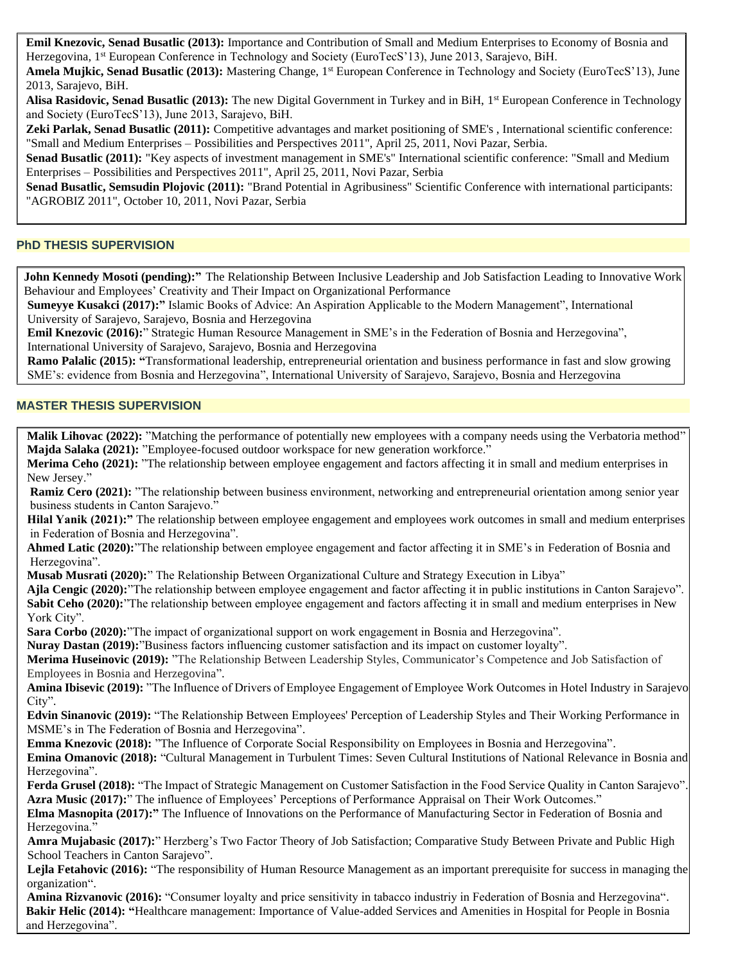• **Emil Knezovic, Senad Busatlic (2013):** Importance and Contribution of Small and Medium Enterprises to Economy of Bosnia and Herzegovina, 1<sup>st</sup> European Conference in Technology and Society (EuroTecS'13), June 2013, Sarajevo, BiH.

**Amela Mujkic, Senad Busatlic (2013):** Mastering Change, 1<sup>st</sup> European Conference in Technology and Society (EuroTecS'13), June 2013, Sarajevo, BiH.

Alisa Rasidovic, Senad Busatlic (2013): The new Digital Government in Turkey and in BiH, 1<sup>st</sup> European Conference in Technology and Society (EuroTecS'13), June 2013, Sarajevo, BiH.

• **Zeki Parlak, Senad Busatlic (2011):** Competitive advantages and market positioning of SME's , International scientific conference: "Small and Medium Enterprises – Possibilities and Perspectives 2011", April 25, 2011, Novi Pazar, Serbia.

Senad Busatlic (2011): "Key aspects of investment management in SME's" International scientific conference: "Small and Medium Enterprises – Possibilities and Perspectives 2011", April 25, 2011, Novi Pazar, Serbia

• **Senad Busatlic, Semsudin Plojovic (2011):** "Brand Potential in Agribusiness" Scientific Conference with international participants: "AGROBIZ 2011", October 10, 2011, Novi Pazar, Serbia

#### **PhD THESIS SUPERVISION**

 **John Kennedy Mosoti (pending):"** The Relationship Between Inclusive Leadership and Job Satisfaction Leading to Innovative Work Behaviour and Employees' Creativity and Their Impact on Organizational Performance

**Sumeyye Kusakci (2017):"** Islamic Books of Advice: An Aspiration Applicable to the Modern Management", International University of Sarajevo, Sarajevo, Bosnia and Herzegovina

**Emil Knezovic (2016):**" Strategic Human Resource Management in SME's in the Federation of Bosnia and Herzegovina", International University of Sarajevo, Sarajevo, Bosnia and Herzegovina

**Ramo Palalic (2015): "**Transformational leadership, entrepreneurial orientation and business performance in fast and slow growing SME's: evidence from Bosnia and Herzegovina", International University of Sarajevo, Sarajevo, Bosnia and Herzegovina

#### **MASTER THESIS SUPERVISION**

**Malik Lihovac** (2022): "Matching the performance of potentially new employees with a company needs using the Verbatoria method"  **Majda Salaka (2021):** "Employee-focused outdoor workspace for new generation workforce."

 **Merima Ceho (2021):** "The relationship between employee engagement and factors affecting it in small and medium enterprises in New Jersey."

**Ramiz Cero (2021):** "The relationship between business environment, networking and entrepreneurial orientation among senior year business students in Canton Sarajevo."

Hilal Yanik (2021):" The relationship between employee engagement and employees work outcomes in small and medium enterprises in Federation of Bosnia and Herzegovina".

 **Ahmed Latic (2020):**"The relationship between employee engagement and factor affecting it in SME's in Federation of Bosnia and Herzegovina".

 **Musab Musrati (2020):**" The Relationship Between Organizational Culture and Strategy Execution in Libya"

 **Ajla Cengic (2020):**"The relationship between employee engagement and factor affecting it in public institutions in Canton Sarajevo". **Sabit Ceho (2020):**"The relationship between employee engagement and factors affecting it in small and medium enterprises in New York City".

**Sara Corbo (2020):**"The impact of organizational support on work engagement in Bosnia and Herzegovina".

 **Nuray Dastan (2019):**"Business factors influencing customer satisfaction and its impact on customer loyalty".

 **Merima Huseinovic (2019):** "The Relationship Between Leadership Styles, Communicator's Competence and Job Satisfaction of Employees in Bosnia and Herzegovina".

 **Amina Ibisevic (2019):** "The Influence of Drivers of Employee Engagement of Employee Work Outcomes in Hotel Industry in Sarajevo City".

 **Edvin Sinanovic (2019):** "The Relationship Between Employees' Perception of Leadership Styles and Their Working Performance in MSME's in The Federation of Bosnia and Herzegovina".

**Emma Knezovic (2018):** "The Influence of Corporate Social Responsibility on Employees in Bosnia and Herzegovina".

 **Emina Omanovic (2018):** "Cultural Management in Turbulent Times: Seven Cultural Institutions of National Relevance in Bosnia and Herzegovina".

 **Ferda Grusel (2018):** "The Impact of Strategic Management on Customer Satisfaction in the Food Service Quality in Canton Sarajevo".  **Azra Music (2017):**" The influence of Employees' Perceptions of Performance Appraisal on Their Work Outcomes."

 **Elma Masnopita (2017):"** The Influence of Innovations on the Performance of Manufacturing Sector in Federation of Bosnia and Herzegovina."

 **Amra Mujabasic (2017):**" Herzberg's Two Factor Theory of Job Satisfaction; Comparative Study Between Private and Public High School Teachers in Canton Sarajevo".

 **Lejla Fetahovic (2016):** "The responsibility of Human Resource Management as an important prerequisite for success in managing the organization".

Amina Rizvanovic (2016): "Consumer loyalty and price sensitivity in tabacco industriy in Federation of Bosnia and Herzegovina". **Bakir Helic (2014): "**Healthcare management: Importance of Value-added Services and Amenities in Hospital for People in Bosnia and Herzegovina".